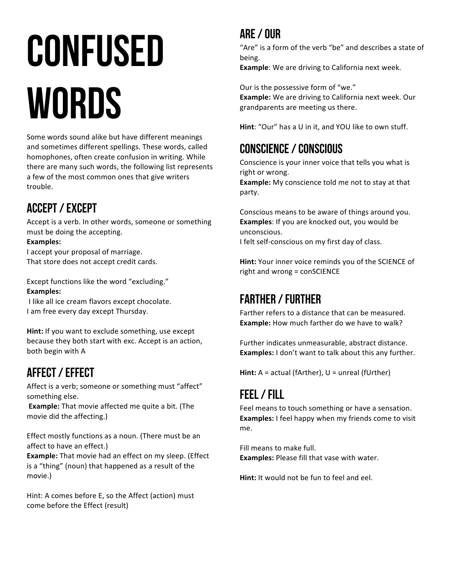# **CONFUSED WORDS**

Some words sound alike but have different meanings and sometimes different spellings. These words, called homophones, often create confusion in writing. While there are many such words, the following list represents a few of the most common ones that give writers trouble.

# Accept / Except

Accept is a verb. In other words, someone or something must be doing the accepting.

**Examples:** I accept your proposal of marriage. That store does not accept credit cards.

Except functions like the word "excluding." **Examples:**

I like all ice cream flavors except chocolate. I am free every day except Thursday.

**Hint:** If you want to exclude something, use except because they both start with exc. Accept is an action, both begin with A

# Affect / Effect

Affect is a verb; someone or something must "affect" something else.

**Example:** That movie affected me quite a bit. (The movie did the affecting.)

Effect mostly functions as a noun. (There must be an affect to have an effect.)

**Example:** That movie had an effect on my sleep. (Effect is a "thing" (noun) that happened as a result of the movie.) 

Hint: A comes before E, so the Affect (action) must come before the Effect (result)

# Are / Our

"Are" is a form of the verb "be" and describes a state of being.

**Example**: We are driving to California next week.

Our is the possessive form of "we." **Example:** We are driving to California next week. Our grandparents are meeting us there.

**Hint**: "Our" has a U in it, and YOU like to own stuff.

# Conscience / Conscious

Conscience is your inner voice that tells you what is right or wrong.

**Example:** My conscience told me not to stay at that party. 

Conscious means to be aware of things around you. **Examples:** If you are knocked out, you would be unconscious. 

I felt self-conscious on my first day of class.

**Hint:** Your inner voice reminds you of the SCIENCE of  $right$  and wrong =  $conSCIENCE$ 

# Farther / Further

Farther refers to a distance that can be measured. **Example:** How much farther do we have to walk?

Further indicates unmeasurable, abstract distance. **Examples:** I don't want to talk about this any further.

**Hint:**  $A = actual (fArthur)$ ,  $U = unreal (fUrther)$ 

# Feel / Fill

Feel means to touch something or have a sensation. **Examples:** I feel happy when my friends come to visit me.

Fill means to make full. **Examples:** Please fill that vase with water.

**Hint:** It would not be fun to feel and eel.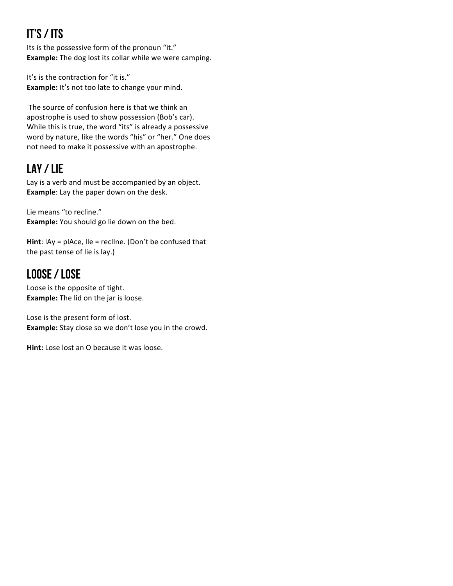# It's / Its

Its is the possessive form of the pronoun "it." **Example:** The dog lost its collar while we were camping.

It's is the contraction for "it is." **Example:** It's not too late to change your mind.

The source of confusion here is that we think an apostrophe is used to show possession (Bob's car). While this is true, the word "its" is already a possessive word by nature, like the words "his" or "her." One does not need to make it possessive with an apostrophe.

# Lay / Lie

Lay is a verb and must be accompanied by an object. **Example:** Lay the paper down on the desk.

Lie means "to recline." **Example:** You should go lie down on the bed.

**Hint**:  $\text{lay} = \text{place}$ ,  $\text{lle} = \text{recline}$ . (Don't be confused that the past tense of lie is lay.)

# Loose / Lose

Loose is the opposite of tight. **Example:** The lid on the jar is loose.

Lose is the present form of lost. **Example:** Stay close so we don't lose you in the crowd.

**Hint:** Lose lost an O because it was loose.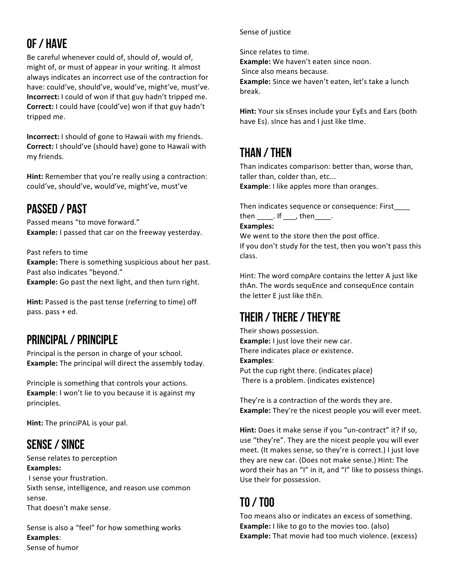# Of / Have

Be careful whenever could of, should of, would of, might of, or must of appear in your writing. It almost always indicates an incorrect use of the contraction for have: could've, should've, would've, might've, must've. **Incorrect:** I could of won if that guy hadn't tripped me. **Correct:** I could have (could've) won if that guy hadn't tripped me.

**Incorrect:** I should of gone to Hawaii with my friends. **Correct:** I should've (should have) gone to Hawaii with my friends.

**Hint:** Remember that you're really using a contraction: could've, should've, would've, might've, must've

## Passed / Past

Passed means "to move forward." **Example:** I passed that car on the freeway yesterday.

Past refers to time

**Example:** There is something suspicious about her past. Past also indicates "beyond."

**Example:** Go past the next light, and then turn right.

**Hint:** Passed is the past tense (referring to time) off pass.  $pass + ed$ .

#### Principal / Principle

Principal is the person in charge of your school. **Example:** The principal will direct the assembly today.

Principle is something that controls your actions. **Example**: I won't lie to you because it is against my principles.

**Hint:** The princiPAL is your pal.

## Sense / Since

Sense relates to perception **Examples:** I sense your frustration.

Sixth sense, intelligence, and reason use common sense. That doesn't make sense.

Sense is also a "feel" for how something works **Examples**: Sense of humor

#### Sense of justice

Since relates to time.

**Example:** We haven't eaten since noon.

Since also means because.

**Example:** Since we haven't eaten, let's take a lunch break. 

**Hint:** Your six sEnses include your EyEs and Ears (both have Es). since has and I just like time.

# Than / Then

Than indicates comparison: better than, worse than, taller than, colder than, etc... **Example**: I like apples more than oranges.

Then indicates sequence or consequence: First

 $then$   $\qquad$ . If  $\qquad$ , then  $\qquad$ .

#### **Examples:**

We went to the store then the post office. If you don't study for the test, then you won't pass this class. 

Hint: The word compAre contains the letter A just like thAn. The words sequEnce and consequEnce contain the letter E just like thEn.

# Their / there / They're

Their shows possession. **Example:** I just love their new car. There indicates place or existence. **Examples**: Put the cup right there. (indicates place)

There is a problem. (indicates existence)

They're is a contraction of the words they are. **Example:** They're the nicest people you will ever meet.

**Hint:** Does it make sense if you "un-contract" it? If so, use "they're". They are the nicest people you will ever meet. (It makes sense, so they're is correct.) I just love they are new car. (Does not make sense.) Hint: The word their has an "I" in it, and "I" like to possess things. Use their for possession.

# To / Too

Too means also or indicates an excess of something. **Example:** I like to go to the movies too. (also) **Example:** That movie had too much violence. (excess)